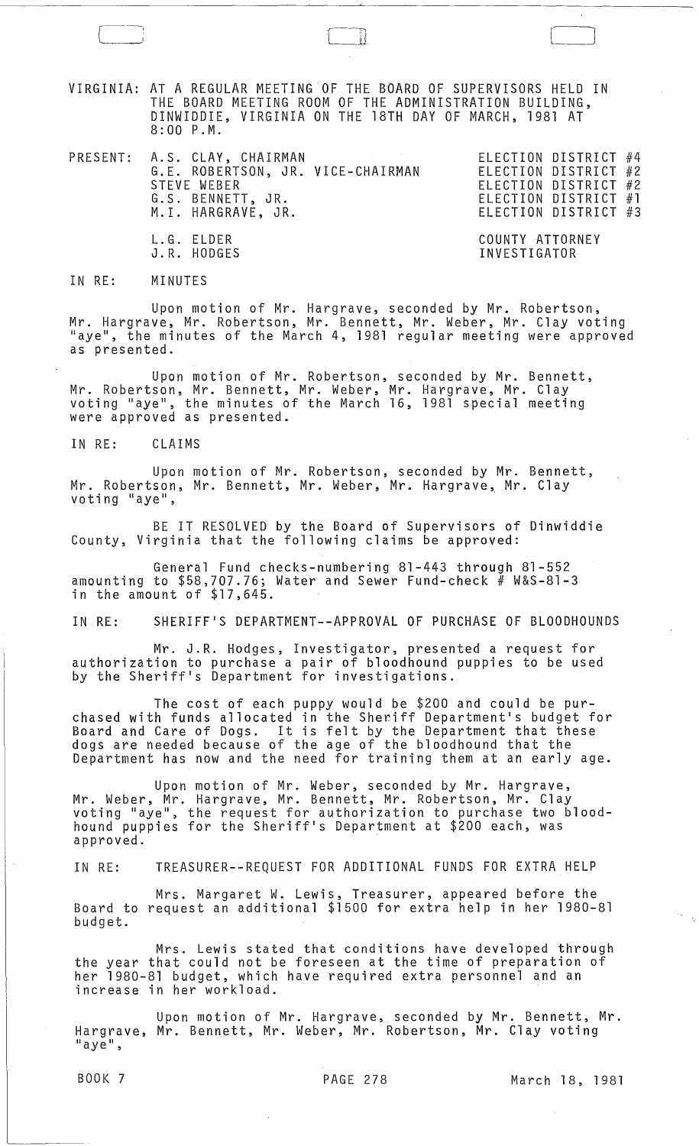VIRGINIA: AT A REGULAR MEETING OF THE BDARD OF SUPERVISORS HELD IN THE BOARD MEETING ROOM OF THE ADMINISTRATION BUILDING, DINWIDDIE, VIRGINIA ON THE 18TH DAY OF MARCH, 1981 AT 8:00 P.M.

PRESENT: A.S. CLAY, CHAIRMAN ELECTION DISTRICT #4 G.E. ROBERTSON, JR. VICE-CHAIRMAN STEVE WEBER G.S. BENNETT, JR. M.I. HARGRAVE, JR. L.G. ELDER

ELECTION DISTRICT #2 ELECTION DISTRICT #2 ELECTION DISTRICT #1 ELECTION DISTRICT #3

J

COUNTY ATTORNEY INVESTIGATOR

IN RE: MINUTES

J.R. HODGES

Upon motion of Mr. Hargrave, seconded by Mr. Robertson, Mr. Hargrave, Mr. Robertson, Mr. Bennett, Mr. Weber, Mr. Clay voting "aye", the minutes of the March 4, 1981 regular meeting were approved as presented.

Upon motion of Mr. Robertson, seconded by Mr. Bennett, Mr. Robertson, Mr. Bennett, Mr. Weber, Mr. Hargrave, Mr. Clay voting "aye", the minutes of the March 16, 1981 special meeting were approved as presented.

IN RE: CLAIMS

Upon motion of Mr. Robertson, seconded by Mr. Bennett, Mr. Robertson, Mr. Bennett, Mr. Weber, Mr. Hargrave, Mr. Clay<br>voting "aye",

BE IT RESOLVED by the Board of Supervisors of Dinwiddie County, Virginia that the following claims be approved:

General Fund checks-numbering 81-443 through 81-552 amounting to \$58,707.76; Water and Sewer Fund-check # W&S-81-3 in the amount of \$17,645.

IN RE: SHERIFF'S DEPARTMENT--APPROVAL OF PURCHASE OF BLOODHOUNDS

Mr. J.R. Hodges, Investigator, presented a request for authorization to purchase a pair of bloodhound puppies to be used by the Sheriff's Department for investigations.

The cost of each puppy would be \$200 and could be purchased with funds allocated in the Sheriff Department's budget for Board and Care of Dogs. It is felt by the Department that these dogs are needed because of the age of the bloodhound that the Department has now and the need for training them at an early age.

Upon motion of Mr. Weber, seconded by Mr. Hargrave, Mr. Weber, Mr. Hargrave, Mr. Bennett, Mr. Robertson, Mr. Clay voting lIaye", the request for authorization to purchase two bloodhound puppies for the Sheriff's Department at \$200 each, was approved. .

IN RE: TREASURER--REQUEST FOR ADDITIONAL FUNDS FOR EXTRA HELP

Mrs. Margaret W. Lewis, Treasurer, appeared before the Board to request an additional \$1500 for extra help in her 1980-81 budget.

Mrs. Lewis stated that conditions have developed through the year that could not be foreseen at the time of preparation of her 1980-81 budget, which have required extra personnel and an increase in her workload.

Upon motion of Mr. Hargrave, seconded by Mr. Bennett, Mr. Hargrave, Mr. Bennett, Mr. Weber, Mr. Robertson, Mr. Clay voting<br>"aye",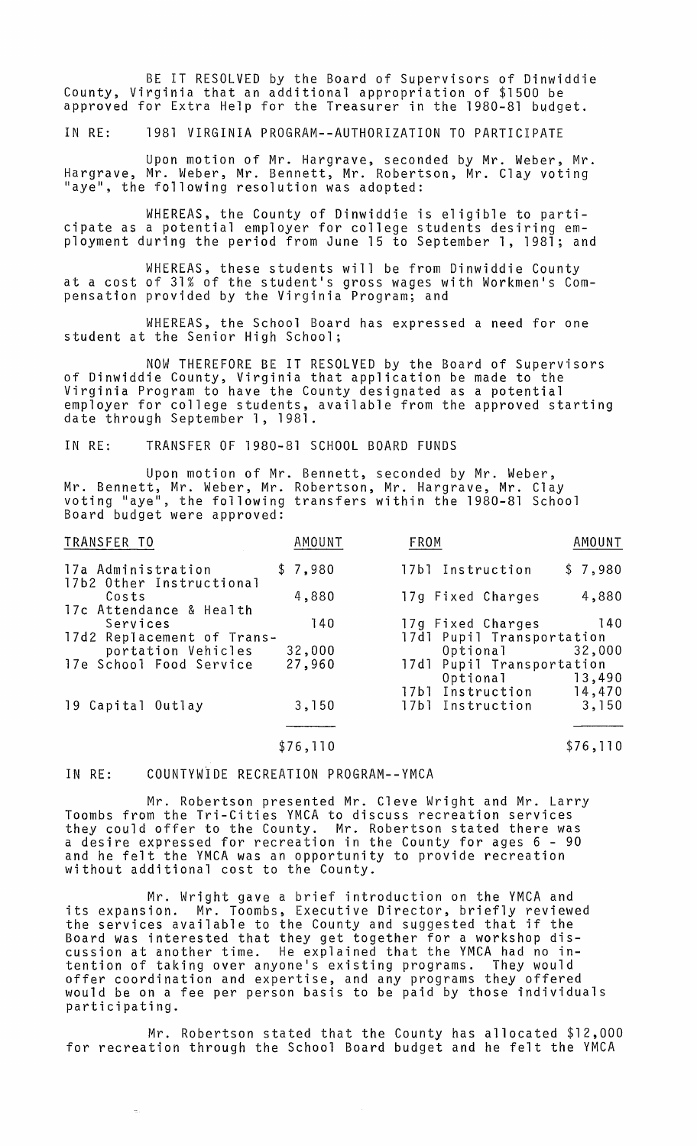BE IT RESOLVED by the Board of Supervisors of Dinwiddie County, Virginia that an additional appropriation of \$1500 be approved for Extra Help for the Treasurer in the 1980-81 budget.

IN RE: 1981 VIRGINIA PROGRAM--AUTHORIZATION TO PARTICIPATE

Upon motion of Mr. Hargrave, seconded by Mr. Weber, Mr. Hargrave, Mr. Weber, Mr. Bennett, Mr. Robertson, Mr. Clay voting "aye", the following resolution was adopted:

WHEREAS, the County of Dinwiddie is eligible to participate as a potential employer for college students desiring employment during the period from June 15 to September 1, 1981; and

WHEREAS, these students will be from Dinwiddie County at a cost of 31% of the student's gross wages with Workmen's Compensation provided by the Virginia Program; and

WHEREAS, the School Board has expressed a need for one student at the Senior High School;

NOW THEREFORE BE IT RESOLVED by the Board of Supervisors of Dinwiddie County, Virginia that application be made to the Virginia Program to have the County designated as a potential employer for college students, available from the approved starting date through September 1, 1981.

IN RE: TRANSFER OF 1980-81 SCHOOL BOARD FUNDS

Upon motion of Mr. Bennett, seconded by Mr. Weber, Mr. Bennett, Mr. Weber, Mr. Robertson, Mr. Hargrave, Mr. Clay voting "aye", the following transfers within the 1980-81 School Board budget were approved:

| TRANSFER TO                                    | AMOUNT   | FROM                      | AMOUNT   |
|------------------------------------------------|----------|---------------------------|----------|
| 17a Administration<br>17b2 Other Instructional | \$7,980  | 17b1 Instruction          | \$7,980  |
| Costs<br>17c Attendance & Health               | 4,880    | 17g Fixed Charges         | 4,880    |
| Services                                       | 140      | 17g Fixed Charges         | $140$    |
| 17d2 Replacement of Trans-                     |          | 17d1 Pupil Transportation |          |
| portation Vehicles                             | 32,000   | Optional <b>compared</b>  | 32,000   |
| 17e School Food Service                        | 27,960   | 17d1 Pupil Transportation |          |
|                                                |          | Optional                  | 13,490   |
|                                                |          | 17b1 Instruction          | 14,470   |
| 19 Capital Outlay                              | 3,150    | 17bl Instruction          | 3,150    |
|                                                |          |                           |          |
|                                                | \$76,110 |                           | \$76,110 |

IN RE: COUNTYWiDE RECREATION PROGRAM--YMCA

Mr. Robertson presented Mr. Cleve Wright and Mr. Larry Toombs from the Tri-Cities YMCA to discuss recreation services they could offer to the County. Mr. Robertson stated there was a desire expressed for recreation in the County for ages 6 - 90 and he felt the YMCA was an opportunity to provide recreation without additional cost to the County.

Mr. Wright gave a brief introduction on the YMCA and its expansion. Mr. Toombs, Executive Director, briefly reviewed the services available to the County and suggested that if the Board was interested that they get together for a workshop discussion at another time. He explained that the YMCA had no intention of taking over anyone1s existing programs. They would offer coordination and expertise, and any programs they offered would be on a fee per person basis to be paid by those individuals participating.

Mr. Robertson stated that the County has allocated \$12,000 for recreation through the School Board budget and he felt the YMCA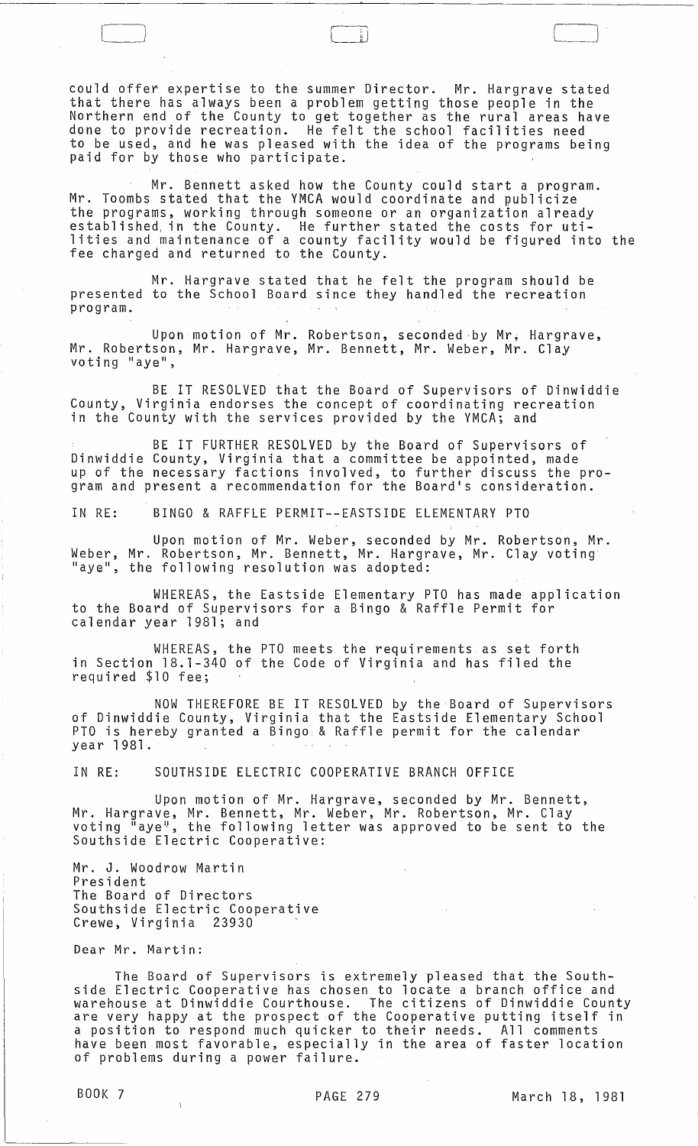could offer expertise to the summer Director. Mr. Hargrave stated that there has always been a problem getting those people in the Northern end of the County to get together as the rural areas have done to provide recreation. He felt the school facilities need to be used, and he was pleased with the idea of the programs being<br>paid for by those who participate.

Mr. Bennett asked how the County could start a program. Mr. Toombs stated that the YMCA would coordinate and publicize the programs, working through someone or an organization already established, in the County. He further stated the costs for utilities and maintenance of a county facility would be figured into the fee charged and returned to the County.

Mr. Hargrave stated that he felt the program should be presented to the School Board since they handled the recreation program.

Upon motion of Mr. Robertson, seconded by Mr. Hargrave, Mr. Robertson, Mr. Hargrave, Mr. Bennett, Mr. Weber, Mr. Clay<br>voting "aye",

BE IT RESOLVED that the Board of Supervisors of Dinwiddie County, Virginia endorses the concept of coordinating recreation in the County with the services provided by the YMCA; and

BE IT FURTHER RESOLVED by the Board of Supervisors of Dinwiddie County, Virginia that a committee be appointed, made up of the necessary factions involved, to further discuss the program and present a recommendation for the Board's consideration.

IN RE: BINGO & RAFFLE PERMIT--EASTSIDE ELEMENTARY PTO

Upon motion of Mr. Weber, seconded by Mr. Robertson, Mr. Weber, Mr. Robertson, Mr. Bennett, Mr. Hargrave, Mr. Clay voting "aye", the following resolution was adopted:

WHEREAS, the Eastside Elementary PTO has made application to the Board of Supervisors for a Bingo & Raffle Permit for calendar year 1981; and

WHEREAS, the PTO meets the requirements as set forth in Section 18.1-340 of the Code of Virginia and has filed the required \$10 fee;

NOW THEREFORE BE IT RESOLVED by the Board of Supervisors of Dinwiddie County, Virginia that the Eastside Elementary School PTO is hereby granted a Bingo & Raffle permit for the calendar year 1981.

IN RE: SOUTHSIDE ELECTRIC COOPERATIVE BRANCH OFFICE

Upon motion of Mr. Hargrave, seconded by Mr. Bennett, Mr. Hargrave, Mr. Bennett, Mr. Weber, Mr. Robertson, Mr. Clay<br>voting "aye", the following letter was approved to be sent to the voting "aye", the following letter was approved to be sent to the<br>Southside Electric Cooperative:

Mr. J. Woodrow Martin President The Board of Directors Southside Electric Cooperative<br>Crewe, Virginia 23930

Dear Mr. Martin:

The Board of Supervisors is extremely pleased that the Southside Electric Cooperative has chosen to locate a branch office and warehouse at Dinwiddie Courthouse. The citizens of Dinwiddie County ware nouse at binwiddle courthouse. The citizens of binwiddle count<br>are very happy at the prospect of the Cooperative putting itself in a position to respond much quicker to their needs. All comments have been most favorable, especially in the area of faster location of problems during a power failure.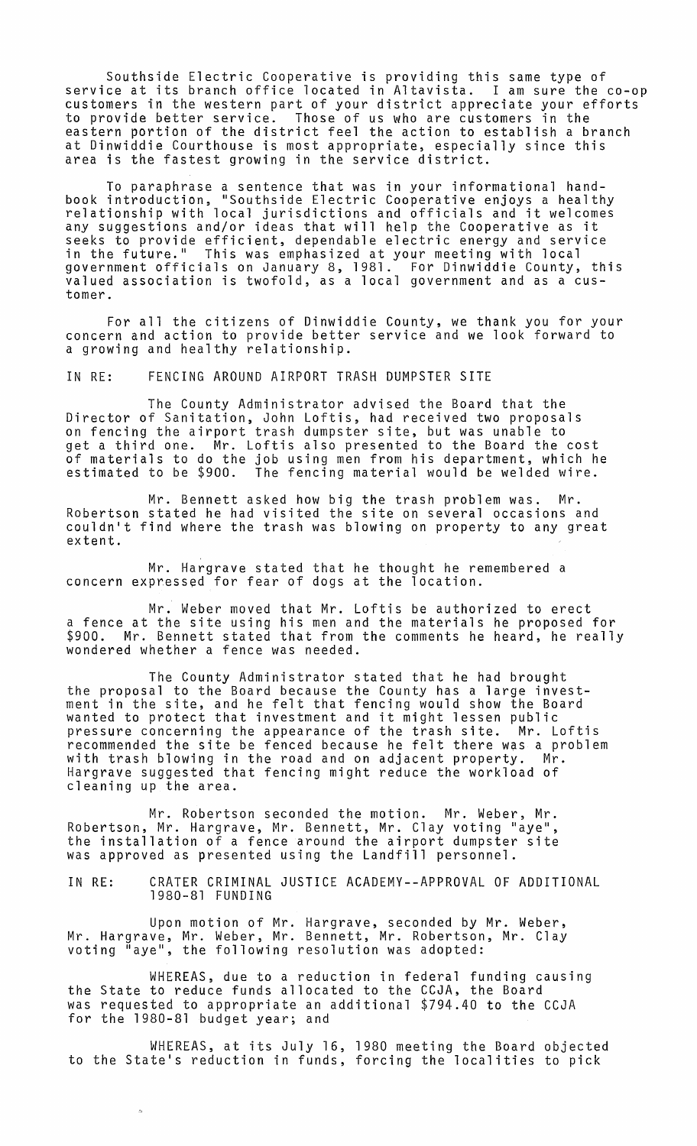Southside Electric Cooperative is providing this same type of service at its branch office located in Altavista. I am sure the co-op customers in the western part of your district appreciate your efforts to provide better service. Those of us who are customers in the eastern portion of the district feel the action to establish a branch at Dinwiddie Courthouse is most appropriate, especially since this area is the fastest growing in the service district.

To paraphrase a sentence that was in your informational handbook introduction, "Southside Electric Cooperative enjoys a healthy relationship with local jurisdictions and officials and it welcomes any suggestions and/or ideas that will help the Cooperative as it seeks to provide efficient, dependable electric energy and service in the future." This was emphasized at your meeting with local government officials on January 8, 1981. For Dinwiddie County, this valued association is twofold, as a local government and as a customer.

For all the citizens of Dinwiddie County, we thank you for your concern and action to provide better service and we look forward to a growing and healthy relationship.

IN RE: FENCING AROUND AIRPORT TRASH DUMPSTER SITE

The County Administrator advised the Board that the Director of Sanitation, John Loftis, had received two proposals on fencing the airport trash dumpster site, but was unable to get a third one. Mr. Loftis also presented to the Board the cost of materials to do the job using men from his department, which he estimated to be \$900. The fencing material would be welded wire.

Mr. Bennett asked how big the trash problem was. Mr. Robertson stated he had visited the site on several occasions and couldn't find where the trash was blowing on property to any great extent.

Mr. Hargrave stated that he thought he remembered a concern expressed for fear of dogs at the location.

Mr. Weber moved that Mr. Loftis be authorized to erect a fence at the site using his men and the materials he proposed for \$900. Mr. Bennett stated that from the comments he heard, he really wondered whether a fence was needed.

The County Administrator stated that he had brought the proposal to the Board because the County has a large investment in the site, and he felt that fencing would show the Board ment in the site, and he felt that fenting would show the Box pressure concerning the appearance of the trash site. Mr. Loftis recommended the site be fenced because he felt there was a problem<br>with trash blowing in the road and on adjacent property. Mr. with trash blowing in the road and on adjacent property. Mr Hargrave suggested that fencing might reduce the workload of cleaning up the area.

Mr. Robertson seconded the motion. Mr. Weber, Mr. Robertson, Mr. Hargrave, Mr. Bennett, Mr. Clay voting "aye", the installation of a fence around the airport dumpster site was approved as presented using the Landfill personnel.

IN RE: CRATER CRIMINAL JUSTICE ACADEMY--APPROVAL OF ADDITIONAL 1980-81 FUNDING

Upon motion of Mr. Hargrave, seconded by Mr. Weber, Mr. Hargrave, Mr. Weber, Mr. Bennett, Mr. Robertson, Mr. Clay<br>voting "aye", the following resolution was adopted:

WHEREAS, due to a reduction in federal funding causing the State to reduce funds allocated to the CCJA, the Board was requested to appropriate an additional \$794.40 to the CCJA for the 1980-81 budget year; and

WHEREAS, at its July 16, 1980 meeting the Board objected to the State's reduction in funds, forcing the localities to pick

 $\overline{\mathbb{R}}$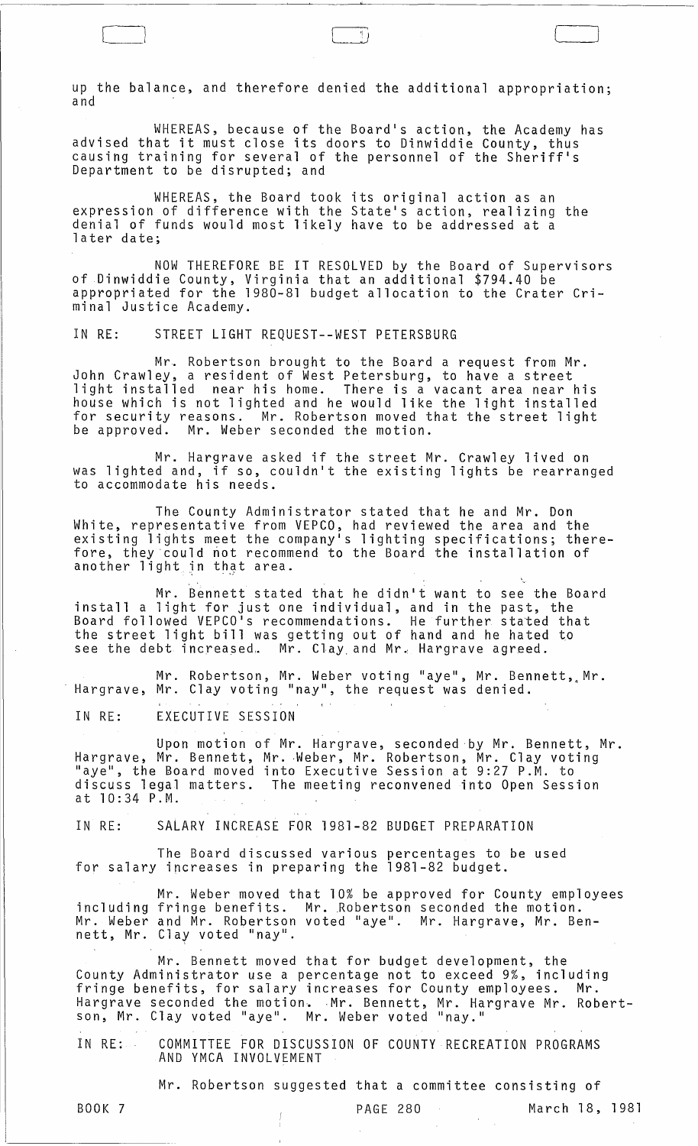up the balance, and therefore denied the additional appropriation; and

WHEREAS, because of the Board's action, the Academy has advised that it must close its doors to Dinwiddie County, thus causing training for several of the personnel of the Sheriff's Department to be disrupted; and

WHEREAS, the Board took its original action as an expression of difference with the State's action, realizing the denial of funds would most likely have to be addressed at a later date;

NOW THEREFORE BE IT RESOLVED by the Board of Supervisors of Dinwiddie County, Virginia that an additional \$794.40 be appropriated for the 1980-81 budget allocation to the Crater Criminal Justice Academy.

IN RE: STREET LIGHT REQUEST--WEST PETERSBURG

Mr. Robertson brought to the Board a request from Mr. John Crawley, a resident of West Petersburg, to have a street light installed near his home. There is a vacant area near his house which is not lighted and he would like the light installed for security reasons. Mr. Robertson moved that the street light be approved. Mr. Weber seconded the motion.

Mr. Hargrave asked if the street Mr. Crawley lived on was lighted and, if so, couldn't the existing lights be rearranged to accommodate his needs.

The County Administrator stated that he and Mr. Don White, representative from VEPCO, had reviewed the area and the existing lights meet the company1s lighting specifications; therefore, they'could not recommend to the Board the installation of another light in that area.

Mr. Bennett stated that he didn't want to see the Board install a light for just one individual, and in the past, the Board followed VEPCO's recommendations. He further stated that even a freet light bill was getting out of hand and he hated to the street light bill was getting out of hand and he hated to

Mr. Robertson, Mr. Weber voting "aye", Mr. Bennett, Mr. Hargrave, Mr. Clay voting "nay", the request was denied.

IN RE: EXECUTIVE SESSION

Upon motion of Mr. Hargrave, seconded by Mr. Bennett, Mr. Hargrave, Mr. Bennett, Mr. Weber, Mr. Robertson, Mr. Clay voting linity. In the Board moved into Executive Session at 9:27 P.M. to discuss legal matters. The meeting reconvened into Open Session at 10:34 P.M.

IN RE: SALARY INCREASE FOR 1981-82 BUDGET PREPARATION

The Board discussed various percentages to be used for salary increases in preparing the 1981-82 budget.

Mr. Weber moved that 10% be approved for County employees including fringe benefits. Mr. ,Robertson seconded the motion. Mr. Weber and Mr. Robertson voted "aye". Mr. Hargrave, Mr. Bennett, Mr. Clay voted "nay".

Mr. Bennett moved that for budget development, the County Administrator use a percentage not to exceed 9%, including fringe benefits, for salary increases for County employees. Mr. Hargrave seconded the motion. Mr. Bennett, Mr. Hargrave Mr. Robertson, Mr. Clay voted "aye". Mr. Weber voted "nay."

IN RE: COMMITTEE FOR DISCUSSION OF COUNTY RECREATION PROGRAMS AND YMCA INVOLVEMENT

Mr. Robertson suggested that a committee consisting of

BOOK 7

 $\perp$